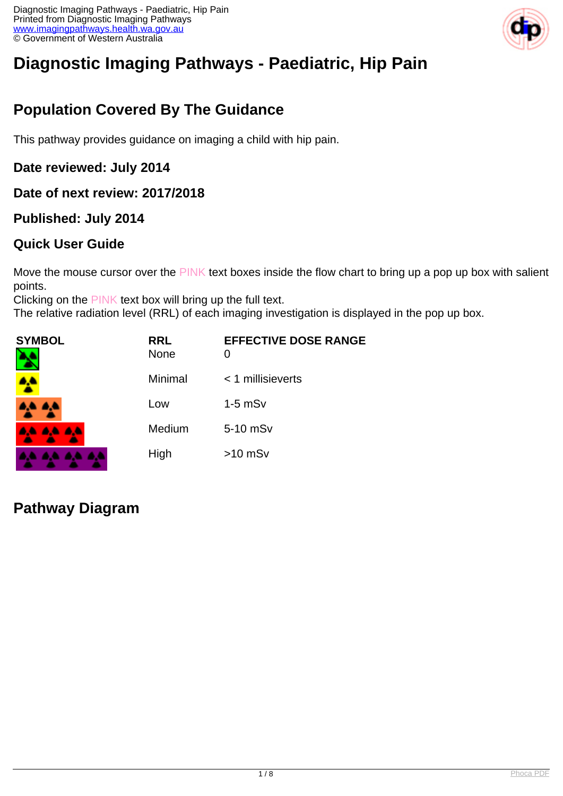

# **Diagnostic Imaging Pathways - Paediatric, Hip Pain**

# **Population Covered By The Guidance**

This pathway provides guidance on imaging a child with hip pain.

**Date reviewed: July 2014**

**Date of next review: 2017/2018**

#### **Published: July 2014**

#### **Quick User Guide**

Move the mouse cursor over the PINK text boxes inside the flow chart to bring up a pop up box with salient points.

Clicking on the PINK text box will bring up the full text.

The relative radiation level (RRL) of each imaging investigation is displayed in the pop up box.

| <b>SYMBOL</b><br>N | <b>RRL</b><br><b>None</b> | <b>EFFECTIVE DOSE RANGE</b><br>0 |
|--------------------|---------------------------|----------------------------------|
|                    | Minimal                   | $<$ 1 millisieverts              |
| 4A 4A              | Low                       | $1-5$ mS $v$                     |
| <b>AA AA AA</b>    | Medium                    | 5-10 mSv                         |
| .<br><b>A</b>      | High                      | $>10$ mSv                        |

#### **Pathway Diagram**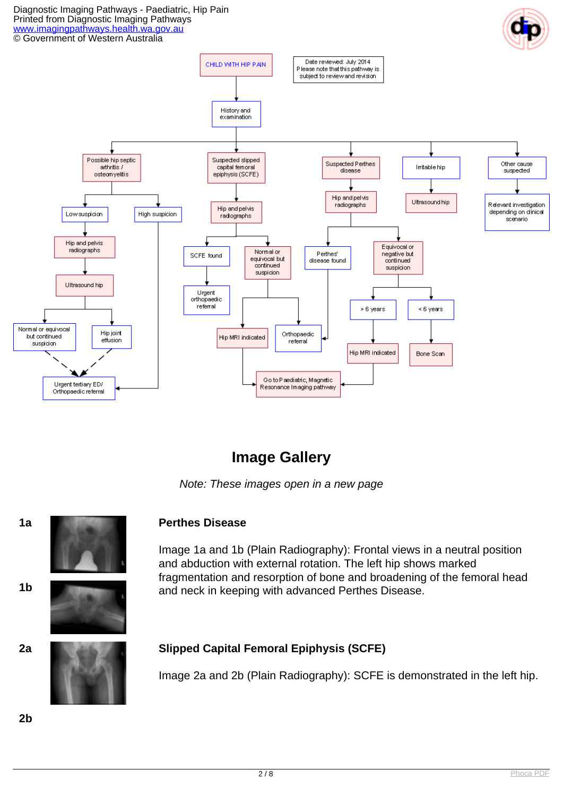#### Diagnostic Imaging Pathways - Paediatric, Hip Pain Printed from Diagnostic Imaging Pathways [www.imagingpathways.health.wa.gov.au](http://www.imagingpathways.health.wa.gov.au/) © Government of Western Australia



## **Image Gallery**

Note: These images open in a new page



Image 1a and 1b (Plain Radiography): Frontal views in a neutral position and abduction with external rotation. The left hip shows marked fragmentation and resorption of bone and broadening of the femoral head and neck in keeping with advanced Perthes Disease. **1b**

#### **2a Slipped Capital Femoral Epiphysis (SCFE)**

Image 2a and 2b (Plain Radiography): SCFE is demonstrated in the left hip.

**2b**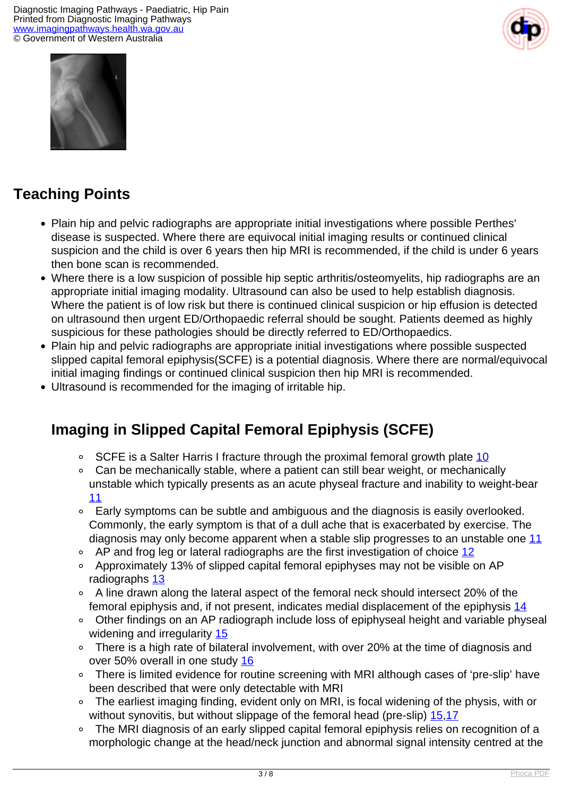



# **Teaching Points**

- Plain hip and pelvic radiographs are appropriate initial investigations where possible Perthes' disease is suspected. Where there are equivocal initial imaging results or continued clinical suspicion and the child is over 6 years then hip MRI is recommended, if the child is under 6 years then bone scan is recommended.
- Where there is a low suspicion of possible hip septic arthritis/osteomyelits, hip radiographs are an appropriate initial imaging modality. Ultrasound can also be used to help establish diagnosis. Where the patient is of low risk but there is continued clinical suspicion or hip effusion is detected on ultrasound then urgent ED/Orthopaedic referral should be sought. Patients deemed as highly suspicious for these pathologies should be directly referred to ED/Orthopaedics.
- Plain hip and pelvic radiographs are appropriate initial investigations where possible suspected slipped capital femoral epiphysis(SCFE) is a potential diagnosis. Where there are normal/equivocal initial imaging findings or continued clinical suspicion then hip MRI is recommended.
- Ultrasound is recommended for the imaging of irritable hip.

# **Imaging in Slipped Capital Femoral Epiphysis (SCFE)**

- SCFE is a Salter Harris I fracture through the proximal femoral growth plate [10](index.php?option=com_content&view=article&id=232&tab=references#10)  $\circ$
- Can be mechanically stable, where a patient can still bear weight, or mechanically unstable which typically presents as an acute physeal fracture and inability to weight-bear [11](index.php?option=com_content&view=article&id=232&tab=references#11)
- Early symptoms can be subtle and ambiguous and the diagnosis is easily overlooked. Commonly, the early symptom is that of a dull ache that is exacerbated by exercise. The diagnosis may only become apparent when a stable slip progresses to an unstable one [11](index.php?option=com_content&view=article&id=232&tab=references#11)
- $\circ$  AP and frog leg or lateral radiographs are the first investigation of choice [12](index.php?option=com_content&view=article&id=232&tab=references#12)
- Approximately 13% of slipped capital femoral epiphyses may not be visible on AP radiographs [13](index.php?option=com_content&view=article&id=232&tab=references#13)
- A line drawn along the lateral aspect of the femoral neck should intersect 20% of the femoral epiphysis and, if not present, indicates medial displacement of the epiphysis [14](index.php?option=com_content&view=article&id=232&tab=references#14)
- Other findings on an AP radiograph include loss of epiphyseal height and variable physeal widening and irregularity [15](index.php?option=com_content&view=article&id=232&tab=references#15)
- There is a high rate of bilateral involvement, with over 20% at the time of diagnosis and  $\circ$ over 50% overall in one study [16](index.php?option=com_content&view=article&id=232&tab=references#16)
- There is limited evidence for routine screening with MRI although cases of 'pre-slip' have been described that were only detectable with MRI
- The earliest imaging finding, evident only on MRI, is focal widening of the physis, with or  $\circ$ without synovitis, but without slippage of the femoral head (pre-slip) [15](index.php?option=com_content&view=article&id=232&tab=references#15),[17](index.php?option=com_content&view=article&id=232&tab=references#17)
- The MRI diagnosis of an early slipped capital femoral epiphysis relies on recognition of a  $\circ$ morphologic change at the head/neck junction and abnormal signal intensity centred at the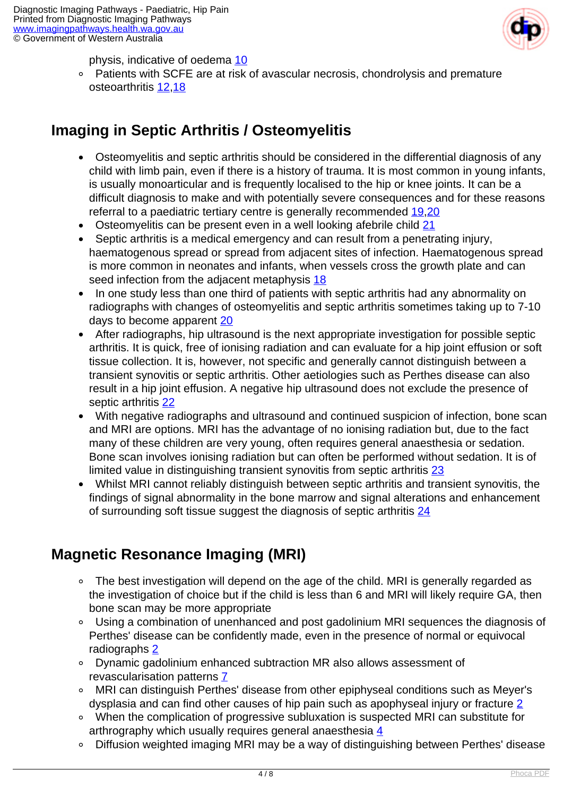

physis, indicative of oedema [10](index.php?option=com_content&view=article&id=232&tab=references#10)

 Patients with SCFE are at risk of avascular necrosis, chondrolysis and premature osteoarthritis [12,](index.php?option=com_content&view=article&id=232&tab=references#12)[18](index.php?option=com_content&view=article&id=232&tab=references#18)

# **Imaging in Septic Arthritis / Osteomyelitis**

- Osteomyelitis and septic arthritis should be considered in the differential diagnosis of any child with limb pain, even if there is a history of trauma. It is most common in young infants, is usually monoarticular and is frequently localised to the hip or knee joints. It can be a difficult diagnosis to make and with potentially severe consequences and for these reasons referral to a paediatric tertiary centre is generally recommended [19](index.php?option=com_content&view=article&id=232&tab=references#19),[20](index.php?option=com_content&view=article&id=232&tab=references#20)
- Osteomyelitis can be present even in a well looking afebrile child [21](index.php?option=com_content&view=article&id=232&tab=references#21)  $\bullet$
- $\bullet$  Septic arthritis is a medical emergency and can result from a penetrating injury, haematogenous spread or spread from adjacent sites of infection. Haematogenous spread is more common in neonates and infants, when vessels cross the growth plate and can seed infection from the adjacent metaphysis [18](index.php?option=com_content&view=article&id=232&tab=references#18)
- In one study less than one third of patients with septic arthritis had any abnormality on radiographs with changes of osteomyelitis and septic arthritis sometimes taking up to 7-10 days to become apparent [20](index.php?option=com_content&view=article&id=232&tab=references#20)
- After radiographs, hip ultrasound is the next appropriate investigation for possible septic arthritis. It is quick, free of ionising radiation and can evaluate for a hip joint effusion or soft tissue collection. It is, however, not specific and generally cannot distinguish between a transient synovitis or septic arthritis. Other aetiologies such as Perthes disease can also result in a hip joint effusion. A negative hip ultrasound does not exclude the presence of septic arthritis [22](index.php?option=com_content&view=article&id=232&tab=references#20)
- With negative radiographs and ultrasound and continued suspicion of infection, bone scan  $\bullet$ and MRI are options. MRI has the advantage of no ionising radiation but, due to the fact many of these children are very young, often requires general anaesthesia or sedation. Bone scan involves ionising radiation but can often be performed without sedation. It is of limited value in distinguishing transient synovitis from septic arthritis [23](index.php?option=com_content&view=article&id=232&tab=references#23)
- $\bullet$  Whilst MRI cannot reliably distinguish between septic arthritis and transient synovitis, the findings of signal abnormality in the bone marrow and signal alterations and enhancement of surrounding soft tissue suggest the diagnosis of septic arthritis [24](index.php?option=com_content&view=article&id=232&tab=references#24)

## **Magnetic Resonance Imaging (MRI)**

- The best investigation will depend on the age of the child. MRI is generally regarded as the investigation of choice but if the child is less than 6 and MRI will likely require GA, then bone scan may be more appropriate
- Using a combination of unenhanced and post gadolinium MRI sequences the diagnosis of Perthes' disease can be confidently made, even in the presence of normal or equivocal radiographs [2](index.php?option=com_content&view=article&id=232&tab=references#2)
- Dynamic gadolinium enhanced subtraction MR also allows assessment of revascularisation patterns [7](index.php?option=com_content&view=article&id=232&tab=references#7)
- MRI can distinguish Perthes' disease from other epiphyseal conditions such as Meyer's dysplasia and can find other causes of hip pain such as apophyseal injury or fracture [2](index.php?option=com_content&view=article&id=232&tab=references#2)
- When the complication of progressive subluxation is suspected MRI can substitute for arthrography which usually requires general anaesthesia [4](index.php?option=com_content&view=article&id=232&tab=references#4)
- Diffusion weighted imaging MRI may be a way of distinguishing between Perthes' disease  $\circ$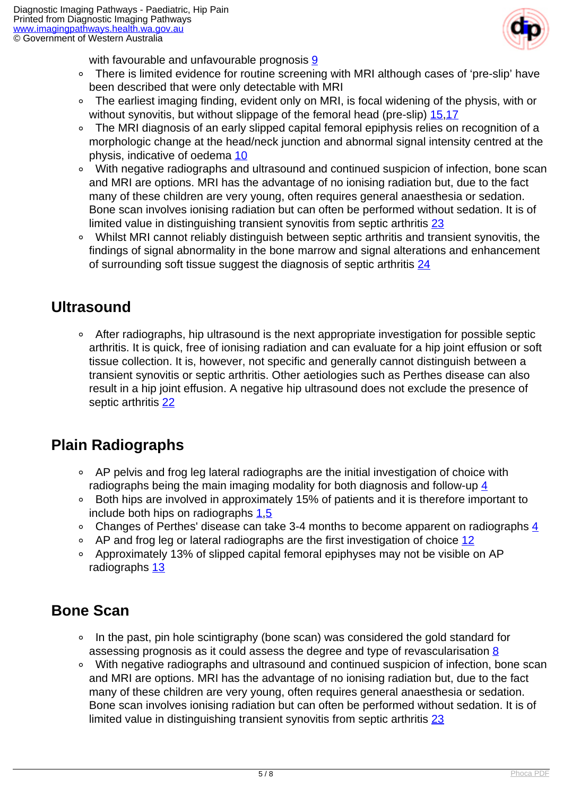

with favourable and unfavourable prognosis [9](index.php?option=com_content&view=article&id=232&tab=references#9)

- There is limited evidence for routine screening with MRI although cases of 'pre-slip' have  $\circ$ been described that were only detectable with MRI
- The earliest imaging finding, evident only on MRI, is focal widening of the physis, with or without synovitis, but without slippage of the femoral head (pre-slip) [15](index.php?option=com_content&view=article&id=232&tab=references#15),[17](index.php?option=com_content&view=article&id=232&tab=references#17)
- $\circ$  The MRI diagnosis of an early slipped capital femoral epiphysis relies on recognition of a morphologic change at the head/neck junction and abnormal signal intensity centred at the physis, indicative of oedema [10](index.php?option=com_content&view=article&id=232&tab=references#10)
- With negative radiographs and ultrasound and continued suspicion of infection, bone scan and MRI are options. MRI has the advantage of no ionising radiation but, due to the fact many of these children are very young, often requires general anaesthesia or sedation. Bone scan involves ionising radiation but can often be performed without sedation. It is of limited value in distinguishing transient synovitis from septic arthritis [23](index.php?option=com_content&view=article&id=232&tab=references#23)
- Whilst MRI cannot reliably distinguish between septic arthritis and transient synovitis, the findings of signal abnormality in the bone marrow and signal alterations and enhancement of surrounding soft tissue suggest the diagnosis of septic arthritis [24](index.php?option=com_content&view=article&id=232&tab=references#24)

#### **Ultrasound**

 After radiographs, hip ultrasound is the next appropriate investigation for possible septic arthritis. It is quick, free of ionising radiation and can evaluate for a hip joint effusion or soft tissue collection. It is, however, not specific and generally cannot distinguish between a transient synovitis or septic arthritis. Other aetiologies such as Perthes disease can also result in a hip joint effusion. A negative hip ultrasound does not exclude the presence of septic arthritis [22](index.php?option=com_content&view=article&id=232&tab=references#22)

## **Plain Radiographs**

- AP pelvis and frog leg lateral radiographs are the initial investigation of choice with radiographs being the main imaging modality for both diagnosis and follow-up  $\frac{4}{3}$
- Both hips are involved in approximately 15% of patients and it is therefore important to include both hips on radiographs [1,](index.php?option=com_content&view=article&id=232&tab=references#1)[5](index.php?option=com_content&view=article&id=232&tab=references#5)
- Changes of Perthes' disease can take 3-[4](index.php?option=com_content&view=article&id=232&tab=references#4) months to become apparent on radiographs  $\frac{4}{3}$
- AP and frog leg or lateral radiographs are the first investigation of choice [12](index.php?option=com_content&view=article&id=232&tab=references#12)
- Approximately 13% of slipped capital femoral epiphyses may not be visible on AP radiographs [13](index.php?option=com_content&view=article&id=232&tab=references#13)

#### **Bone Scan**

- In the past, pin hole scintigraphy (bone scan) was considered the gold standard for assessing prognosis as it could assess the degree and type of revascularisation [8](index.php?option=com_content&view=article&id=232&tab=references#8)
- With negative radiographs and ultrasound and continued suspicion of infection, bone scan and MRI are options. MRI has the advantage of no ionising radiation but, due to the fact many of these children are very young, often requires general anaesthesia or sedation. Bone scan involves ionising radiation but can often be performed without sedation. It is of limited value in distinguishing transient synovitis from septic arthritis [23](index.php?option=com_content&view=article&id=232&tab=references#23)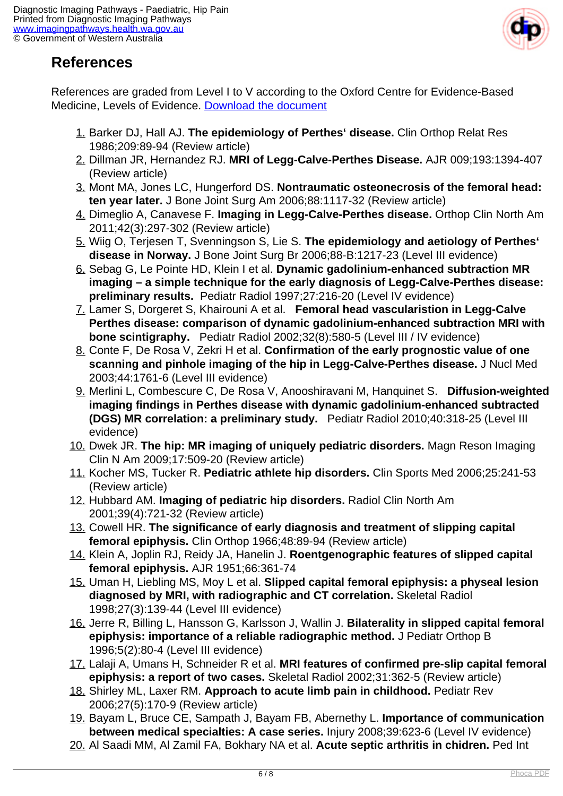

# **References**

References are graded from Level I to V according to the Oxford Centre for Evidence-Based Medicine, Levels of Evidence. [Download the document](http://www.cebm.net/wp-content/uploads/2014/06/CEBM-Levels-of-Evidence-2.1.pdf)

- 1. Barker DJ, Hall AJ. **The epidemiology of Perthes' disease.** Clin Orthop Relat Res 1986;209:89-94 (Review article)
- 2. Dillman JR, Hernandez RJ. **MRI of Legg-Calve-Perthes Disease.** AJR 009;193:1394-407 (Review article)
- 3. Mont MA, Jones LC, Hungerford DS. **Nontraumatic osteonecrosis of the femoral head: ten year later.** J Bone Joint Surg Am 2006;88:1117-32 (Review article)
- 4. Dimeglio A, Canavese F. **Imaging in Legg-Calve-Perthes disease.** Orthop Clin North Am 2011;42(3):297-302 (Review article)
- 5. Wiig O, Terjesen T, Svenningson S, Lie S. **The epidemiology and aetiology of Perthes' disease in Norway.** J Bone Joint Surg Br 2006;88-B:1217-23 (Level III evidence)
- 6. Sebag G, Le Pointe HD, Klein I et al. **Dynamic gadolinium-enhanced subtraction MR imaging – a simple technique for the early diagnosis of Legg-Calve-Perthes disease: preliminary results.** Pediatr Radiol 1997;27:216-20 (Level IV evidence)
- 7. Lamer S, Dorgeret S, Khairouni A et al. **Femoral head vascularistion in Legg-Calve Perthes disease: comparison of dynamic gadolinium-enhanced subtraction MRI with bone scintigraphy.** Pediatr Radiol 2002;32(8):580-5 (Level III / IV evidence)
- 8. Conte F, De Rosa V, Zekri H et al. **Confirmation of the early prognostic value of one scanning and pinhole imaging of the hip in Legg-Calve-Perthes disease.** J Nucl Med 2003;44:1761-6 (Level III evidence)
- 9. Merlini L, Combescure C, De Rosa V, Anooshiravani M, Hanquinet S. **Diffusion-weighted imaging findings in Perthes disease with dynamic gadolinium-enhanced subtracted (DGS) MR correlation: a preliminary study.** Pediatr Radiol 2010;40:318-25 (Level III evidence)
- 10. Dwek JR. **The hip: MR imaging of uniquely pediatric disorders.** Magn Reson Imaging Clin N Am 2009;17:509-20 (Review article)
- 11. Kocher MS, Tucker R. **Pediatric athlete hip disorders.** Clin Sports Med 2006;25:241-53 (Review article)
- 12. Hubbard AM. **Imaging of pediatric hip disorders.** Radiol Clin North Am 2001;39(4):721-32 (Review article)
- 13. Cowell HR. **The significance of early diagnosis and treatment of slipping capital femoral epiphysis.** Clin Orthop 1966;48:89-94 (Review article)
- 14. Klein A, Joplin RJ, Reidy JA, Hanelin J. **Roentgenographic features of slipped capital femoral epiphysis.** AJR 1951;66:361-74
- 15. Uman H, Liebling MS, Moy L et al. **Slipped capital femoral epiphysis: a physeal lesion diagnosed by MRI, with radiographic and CT correlation.** Skeletal Radiol 1998;27(3):139-44 (Level III evidence)
- 16. Jerre R, Billing L, Hansson G, Karlsson J, Wallin J. **Bilaterality in slipped capital femoral epiphysis: importance of a reliable radiographic method.** J Pediatr Orthop B 1996;5(2):80-4 (Level III evidence)
- 17. Lalaji A, Umans H, Schneider R et al. **MRI features of confirmed pre-slip capital femoral epiphysis: a report of two cases.** Skeletal Radiol 2002;31:362-5 (Review article)
- 18. Shirley ML, Laxer RM. **Approach to acute limb pain in childhood.** Pediatr Rev 2006;27(5):170-9 (Review article)
- 19. Bayam L, Bruce CE, Sampath J, Bayam FB, Abernethy L. **Importance of communication between medical specialties: A case series.** Injury 2008;39:623-6 (Level IV evidence)
- 20. Al Saadi MM, Al Zamil FA, Bokhary NA et al. **Acute septic arthritis in chidren.** Ped Int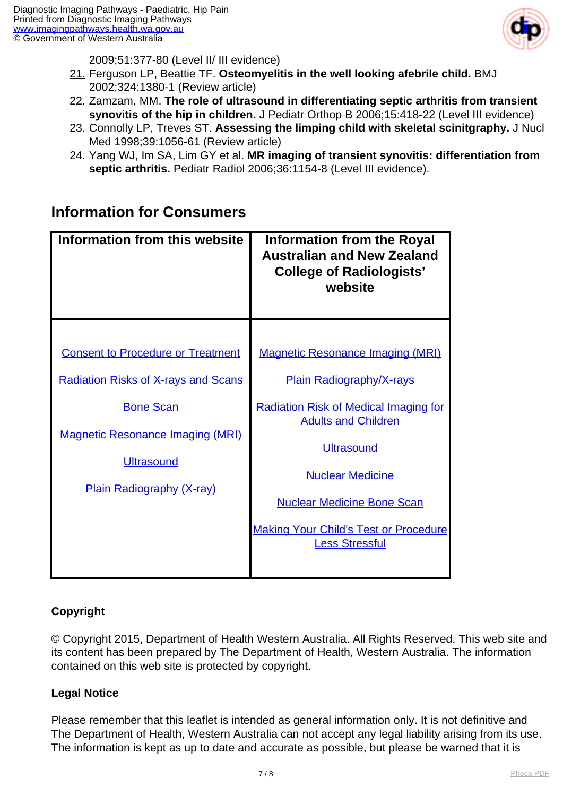

2009;51:377-80 (Level II/ III evidence)

- 21. Ferguson LP, Beattie TF. **Osteomyelitis in the well looking afebrile child.** BMJ 2002;324:1380-1 (Review article)
- 22. Zamzam, MM. **The role of ultrasound in differentiating septic arthritis from transient synovitis of the hip in children.** J Pediatr Orthop B 2006;15:418-22 (Level III evidence)
- 23. Connolly LP, Treves ST. **Assessing the limping child with skeletal scinitgraphy.** J Nucl Med 1998;39:1056-61 (Review article)
- 24. Yang WJ, Im SA, Lim GY et al. **MR imaging of transient synovitis: differentiation from septic arthritis.** Pediatr Radiol 2006;36:1154-8 (Level III evidence).

## **Information for Consumers**

| Information from this website                                                                                                                                                                                  | <b>Information from the Royal</b><br><b>Australian and New Zealand</b><br><b>College of Radiologists'</b><br>website                                                                                                                                                                                                   |
|----------------------------------------------------------------------------------------------------------------------------------------------------------------------------------------------------------------|------------------------------------------------------------------------------------------------------------------------------------------------------------------------------------------------------------------------------------------------------------------------------------------------------------------------|
| <b>Consent to Procedure or Treatment</b><br><b>Radiation Risks of X-rays and Scans</b><br><b>Bone Scan</b><br><b>Magnetic Resonance Imaging (MRI)</b><br><b>Ultrasound</b><br><b>Plain Radiography (X-ray)</b> | <b>Magnetic Resonance Imaging (MRI)</b><br><b>Plain Radiography/X-rays</b><br><b>Radiation Risk of Medical Imaging for</b><br><b>Adults and Children</b><br><b>Ultrasound</b><br><b>Nuclear Medicine</b><br><b>Nuclear Medicine Bone Scan</b><br><b>Making Your Child's Test or Procedure</b><br><b>Less Stressful</b> |

#### **Copyright**

© Copyright 2015, Department of Health Western Australia. All Rights Reserved. This web site and its content has been prepared by The Department of Health, Western Australia. The information contained on this web site is protected by copyright.

#### **Legal Notice**

Please remember that this leaflet is intended as general information only. It is not definitive and The Department of Health, Western Australia can not accept any legal liability arising from its use. The information is kept as up to date and accurate as possible, but please be warned that it is